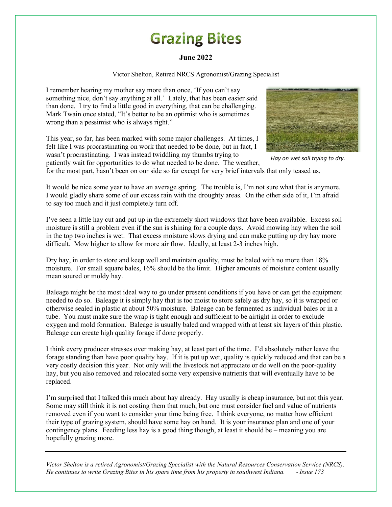## **Grazing Bites**

## **June 2022**

Victor Shelton, Retired NRCS Agronomist/Grazing Specialist

I remember hearing my mother say more than once, 'If you can't say something nice, don't say anything at all.' Lately, that has been easier said than done. I try to find a little good in everything, that can be challenging. Mark Twain once stated, "It's better to be an optimist who is sometimes wrong than a pessimist who is always right."

This year, so far, has been marked with some major challenges. At times, I felt like I was procrastinating on work that needed to be done, but in fact, I wasn't procrastinating. I was instead twiddling my thumbs trying to patiently wait for opportunities to do what needed to be done. The weather,



*Hay on wet soil trying to dry.*

for the most part, hasn't been on our side so far except for very brief intervals that only teased us.

It would be nice some year to have an average spring. The trouble is, I'm not sure what that is anymore. I would gladly share some of our excess rain with the droughty areas. On the other side of it, I'm afraid to say too much and it just completely turn off.

I've seen a little hay cut and put up in the extremely short windows that have been available. Excess soil moisture is still a problem even if the sun is shining for a couple days. Avoid mowing hay when the soil in the top two inches is wet. That excess moisture slows drying and can make putting up dry hay more difficult. Mow higher to allow for more air flow. Ideally, at least 2-3 inches high.

Dry hay, in order to store and keep well and maintain quality, must be baled with no more than 18% moisture. For small square bales, 16% should be the limit. Higher amounts of moisture content usually mean soured or moldy hay.

Baleage might be the most ideal way to go under present conditions if you have or can get the equipment needed to do so. Baleage it is simply hay that is too moist to store safely as dry hay, so it is wrapped or otherwise sealed in plastic at about 50% moisture. Baleage can be fermented as individual bales or in a tube. You must make sure the wrap is tight enough and sufficient to be airtight in order to exclude oxygen and mold formation. Baleage is usually baled and wrapped with at least six layers of thin plastic. Baleage can create high quality forage if done properly.

I think every producer stresses over making hay, at least part of the time. I'd absolutely rather leave the forage standing than have poor quality hay. If it is put up wet, quality is quickly reduced and that can be a very costly decision this year. Not only will the livestock not appreciate or do well on the poor-quality hay, but you also removed and relocated some very expensive nutrients that will eventually have to be replaced.

I'm surprised that I talked this much about hay already. Hay usually is cheap insurance, but not this year. Some may still think it is not costing them that much, but one must consider fuel and value of nutrients removed even if you want to consider your time being free. I think everyone, no matter how efficient their type of grazing system, should have some hay on hand. It is your insurance plan and one of your contingency plans. Feeding less hay is a good thing though, at least it should be – meaning you are hopefully grazing more.

*Victor Shelton is a retired Agronomist/Grazing Specialist with the Natural Resources Conservation Service (NRCS). He continues to write Grazing Bites in his spare time from his property in southwest Indiana. - Issue 173*